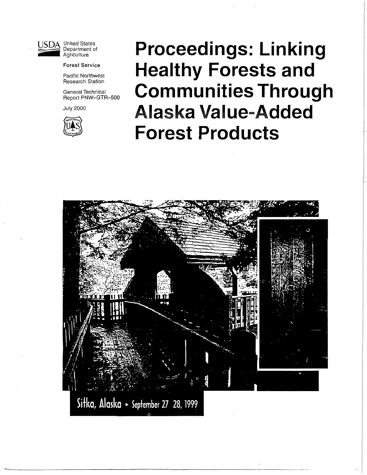

USDA United States<br>Department of Agriculture

**Forest Service** 

Pacific Northwest Research Station

General Technical Report PNW-GTR-500

July 2000



# **Proceedings: Linking Healthy Forests and Communities Through**  Alaska **Value-Added Forest Products**

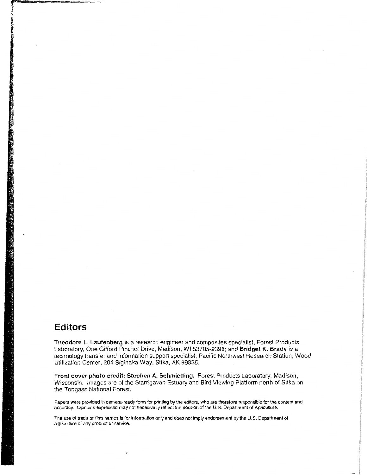### **Editors**

**Theodore L. Laufenberg** is a research engineer and composites specialist, Forest Products Laboratory, One Gifford Pinchot Drive, Madison, WI 53705-2398; and **Bridget K. Brady** is a technology transfer and information support specialist, Pacific Northwest Research Station, Wood Utilization Center, 204 Siginaka Way, Sitka, AK 99835.

**Front cover photo credit: Stephen A. Schmieding.** Forest Products Laboratory, Madison, Wisconsin. Images are of the Starrigavan Estuary and Bird Viewing Platform north of Sitka on the Tongass National Forest.

Papers were provided in camera-ready form for printing by the editors, who are therefore responsible for the content and accuracy. Opinions expressed may not necessarily reflect the position of the U.S. Department of Agriculture.

The use of trade or firm names is for information only and does not imply endorsement by the U.S. Department of Agriculture of any product or service.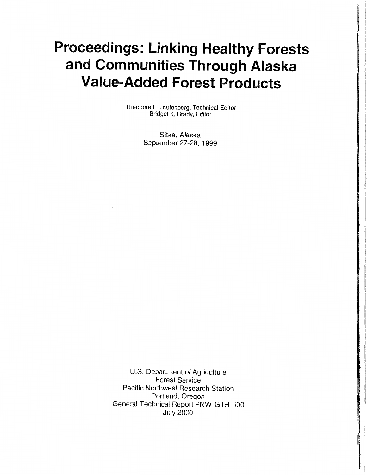# **Proceedings: Linking Healthy Forests and Communities Through Alaska Value-Added Forest Products**

Theodore L. Laufenberg, Technical Editor Bridget K. Brady, Editor

> Sitka, Alaska September 27-28, 1999

U.S. Department of Agriculture Forest Service Pacific Northwest Research Station Portland, Oregon General Technical Report PNW-GTR-500 July 2000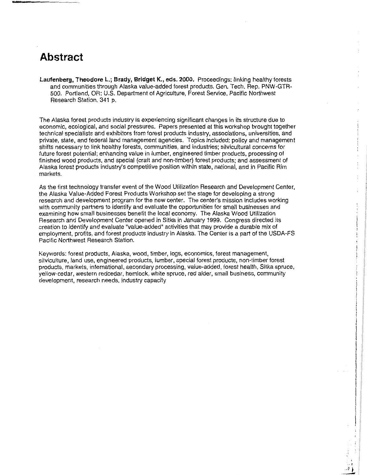# **Abstract**

**Laufenberg, Theodore L.; Brady, Bridget K., eds. 2000.** Proceedings: linking healthy forests and communities through Alaska value-added forest products. Gen. Tech. Rep. PNW-GTR-500. Portland, OR: U.S. Department of Agriculture, Forest Service, Pacific Northwest Research Station. 341 p.

The Alaska forest products industry is experiencing significant changes in its structure due to economic, ecological, and social pressures. Papers presented at this workshop brought together technical specialists and exhibitors from forest products industry, associations, universities, and private, state, and federal land management agencies. Topics included: policy and management shifts necessary to link healthy forests, communities, and industries; silvicultural concerns for future forest potential; enhancing value in lumber, engineered timber products, processing of finished wood products, and special (craft and non-timber) forest products; and assessment of Alaska forest products industry's competitive position within state, national, and in Pacific Rim markets.

As the first technology transfer event of the Wood Utilization Research and Development Center, the Alaska Value-Added Forest Products Workshop set the stage for developing a strong research and development program for the new center. The center's mission includes working with community partners to identify and evaluate the opportunities for small businesses and examining how small businesses benefit the local economy. The Alaska Wood Utilization Research and Development Center opened in Sitka in January 1999. Congress directed its creation to identify and evaluate "value-added" activities that may provide a durable mix of employment, profits, and forest products industry in Alaska. The Center is a part of the USDA-FS Pacific Northwest Research Station.

Keywords: forest products, Alaska, wood, timber, logs, economics, forest management, silviculture, land use, engineered products, lumber, special forest products, non-timber forest products, markets, international, secondary processing, value-added, forest health, Sitka spruce, yellow-cedar, western redcedar, hemlock, white spruce, red alder, small business, community development, research needs, industry capacity

. A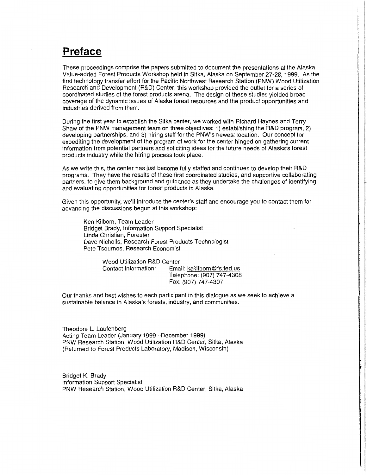# **Preface**

These proceedings comprise the papers submitted to document the presentations at the Alaska Value-added Forest Products Workshop held in Sitka, Alaska on September 27-28, 1999. As the first technology transfer effort for the Pacific Northwest Research Station (PNW) Wood Utilization Research and Development (R&D) Center, this workshop provided the outlet for a series of coordinated studies of the forest products arena. The design of these studies yielded broad coverage of the dynamic issues of Alaska forest resources and the product opportunities and industries derived from them.

During the first year to establish the Sitka center, we worked with Richard Haynes and Terry Shaw of the PNW management team on three objectives: 1) establishing the R&D program, 2) developing partnerships, and 3) hiring staff for the PNW's newest location. Our concept for expediting the development of the program of work for the center hinged on gathering current information from potential partners and soliciting ideas for the future needs of Alaska's forest products industry while the hiring process took place.

As we write this, the center has just become fully staffed and continues to develop their R&D programs. They have the results of these first coordinated studies, and supportive collaborating partners, to give them background and guidance as they undertake the challenges of identifying and evaluating opportunities for forest products in Alaska.

Given this opportunity, we'll introduce the center's staff and encourage you to contact them for advancing the discussions begun at this workshop:

Ken Kilborn, Team Leader Bridget Brady, Information Support Specialist Linda Christian, Forester Dave Nicholls, Research Forest Products Technologist Pete Tsournos, Research Economist

> Wood Utilization R&D Center Contact Information: Email: kakilborn@fs.fed.us Telephone: (907) 747-4308 Fax: (907) 747-4307

Our thanks and best wishes to each participant in this dialogue as we seek to achieve a sustainable balance in Alaska's forests, industry, and communities.

Theodore L. Laufenberg Acting Team Leader (January 1999 -December 1999) PNW Research Station, Wood Utilization R&D Center, Sitka, Alaska (Returned to Forest Products Laboratory, Madison, Wisconsin)

Bridget K. Brady Information Support Specialist PNW Research Station, Wood Utilization R&D Center, Sitka, Alaska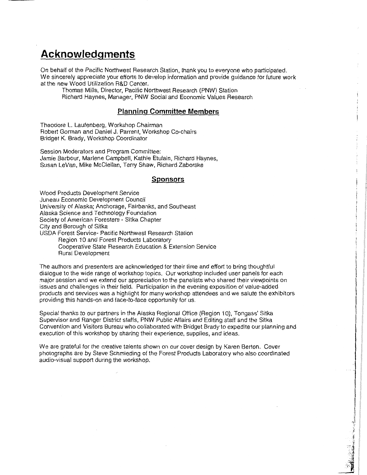# **Acknowledgments**

On behalf of the Pacific Northwest Research Station, thank you to everyone who participated. We sincerely appreciate your efforts to develop information and provide guidance for future work at the new Wood Utilization R&D Center.

Thomas Mills, Director, Pacific Northwest Research (PNW) Station Richard Haynes, Manager, PNW Social and Economic Values Research

#### **Planning Committee Members**

Theodore L. Laufenberg, Workshop Chairman Robert Gorman and Daniel J. Parrent, Workshop Co-chairs Bridget K. Brady, Workshop Coordinator

Session Moderators and Program Committee: Jamie Barbour, Marlene Campbell, Kathie Etulain, Richard Haynes, Susan LeVan, Mike McClellan, Terry Shaw, Richard Zaborske

#### **Sponsors**

Wood Products Development Service Juneau Economic Development Council University of Alaska; Anchorage, Fairbanks, and Southeast Alaska Science and Technology Foundation Society of American Foresters - Sitka Chapter City and Borough of Sitka USDA Forest Service- Pacific Northwest Research Station Region 10 and Forest Products Laboratory Cooperative State Research Education & Extension Service Rural Development

The authors and presenters are acknowledged for their time and effort to bring thoughtful dialogue to the wide range of workshop topics. Our workshop included user panels for each major session and we extend our appreciation to the panelists who shared their viewpoints on issues and challenges in their field. Participation in the evening exposition of value-added products and services was a highlight for many workshop attendees and we salute the exhibitors providing this hands-on and face-to-face opportunity for us.

Special thanks to our partners in the Alaska Regional Office (Region 10), Tongass' Sitka Supervisor and Ranger District staffs, PNW Public Affairs and Editing staff and the Sitka Convention and Visitors Bureau who collaborated with Bridget Brady to expedite our planning and execution of this workshop by sharing their experience, supplies, and ideas.

We are grateful for the creative talents shown on our cover design by Karen Berton. Cover photographs are by Steve Schmieding of the Forest Products Laboratory who also coordinated audio-visual support during the workshop.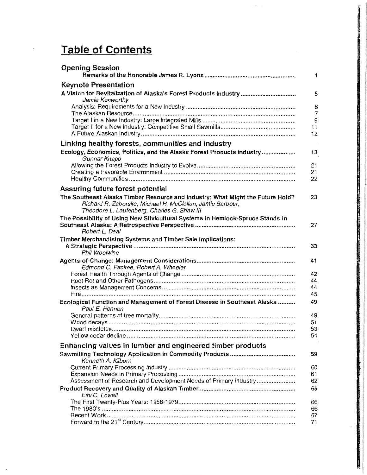# **Table of Contents**

| <b>Opening Session</b>                                                                                   | 1.                  |
|----------------------------------------------------------------------------------------------------------|---------------------|
| <b>Keynote Presentation</b>                                                                              |                     |
| A Vision for Revitalization of Alaska's Forest Products Industry                                         | 5                   |
| Jamie Kenworthy                                                                                          |                     |
|                                                                                                          | 6<br>$\overline{7}$ |
|                                                                                                          | 9                   |
|                                                                                                          | 11                  |
|                                                                                                          | 12                  |
| Linking healthy forests, communities and industry                                                        |                     |
| Ecology, Economics, Politics, and the Alaska Forest Products Industry<br>Gunnar Knapp                    | 13                  |
|                                                                                                          | 21                  |
|                                                                                                          | 21                  |
|                                                                                                          | 22                  |
| Assuring future forest potential                                                                         |                     |
| The Southeast Alaska Timber Resource and Industry: What Might the Future Hold?                           | 23                  |
| Richard R. Zaborske, Michael H. McClellan, Jamie Barbour,<br>Theodore L. Laufenberg, Charles G. Shaw III |                     |
| The Possibility of Using New Silvicultural Systems in Hemlock-Spruce Stands in                           |                     |
| Robert L. Deal                                                                                           | 27                  |
| Timber Merchandising Systems and Timber Sale Implications:                                               |                     |
| Phil Woolwine                                                                                            | 33                  |
|                                                                                                          | 41                  |
| Edmond C. Packee, Robert A. Wheeler                                                                      |                     |
|                                                                                                          | 42                  |
|                                                                                                          | 44                  |
|                                                                                                          | 44                  |
|                                                                                                          | 45                  |
| Ecological Function and Management of Forest Disease in Southeast Alaska<br>Paul E. Hennon               | 49                  |
|                                                                                                          | 49                  |
|                                                                                                          | 51                  |
|                                                                                                          | 53                  |
|                                                                                                          | 54                  |
| Enhancing values in lumber and engineered timber products                                                |                     |
| Kenneth A. Kilborn                                                                                       | 59                  |
|                                                                                                          | 60                  |
|                                                                                                          | 61                  |
| Assessment of Research and Development Needs of Primary Industry                                         | 62                  |
| Eini C. Lowell                                                                                           | 65                  |
|                                                                                                          | 66                  |
|                                                                                                          | 66                  |
|                                                                                                          | 67                  |
|                                                                                                          | 71                  |

I'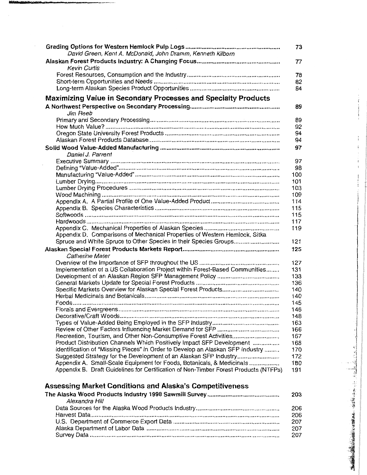| David Green, Kent A. McDonald, John Dramm, Kenneth Kilborn                           | 73  |
|--------------------------------------------------------------------------------------|-----|
| <b>Kevin Curtis</b>                                                                  | 77  |
|                                                                                      | 78  |
|                                                                                      | 82  |
|                                                                                      | 84  |
|                                                                                      |     |
| <b>Maximizing Value in Secondary Processes and Specialty Products</b>                |     |
| Jim Reeb                                                                             | 89  |
|                                                                                      | 89  |
|                                                                                      | 92  |
|                                                                                      | 94  |
|                                                                                      | 94  |
|                                                                                      | 97  |
| Daniel J. Parrent                                                                    |     |
|                                                                                      | 97  |
|                                                                                      | 98  |
|                                                                                      | 100 |
|                                                                                      | 101 |
|                                                                                      | 103 |
|                                                                                      | 109 |
|                                                                                      | 114 |
|                                                                                      | 115 |
|                                                                                      | 115 |
|                                                                                      | 117 |
|                                                                                      | 119 |
| Appendix D. Comparisons of Mechanical Properties of Western Hemlock, Sitka           |     |
| Spruce and White Spruce to Other Species in their Species Groups                     | 121 |
|                                                                                      | 125 |
| <b>Catherine Mater</b>                                                               |     |
|                                                                                      | 127 |
| Implementation of a US Collaboration Project within Forest-Based Communities         | 131 |
|                                                                                      | 133 |
|                                                                                      | 136 |
|                                                                                      | 140 |
|                                                                                      | 140 |
|                                                                                      | 145 |
|                                                                                      | 146 |
|                                                                                      | 148 |
|                                                                                      | 163 |
|                                                                                      | 166 |
|                                                                                      | 167 |
| Product Distribution Channels Which Positively Impact SFP Development                | 168 |
| Identification of "Missing Pieces" in Order to Develop an Alaskan SFP Industry       | 170 |
| Suggested Strategy for the Development of an Alaskan SFP Industry                    | 172 |
| Appendix A. Small-Scale Equipment for Foods, Botanicals, & Medicinals                | 180 |
| Appendix B. Draft Guidelines for Certification of Non-Timber Forest Products (NTFPs) | 191 |
| <b>Assessing Market Conditions and Alaska's Competitiveness</b>                      |     |

 $\ddot{\phantom{0}}$ 

| The Alaska Wood Products Industry 1998 Sawmill Survey…………………………………… | 203. |
|---------------------------------------------------------------------|------|
| Alexandra Hill                                                      |      |
|                                                                     | 206  |
|                                                                     | 206  |
|                                                                     | 207  |
|                                                                     | 207  |
|                                                                     | 207  |
|                                                                     |      |

į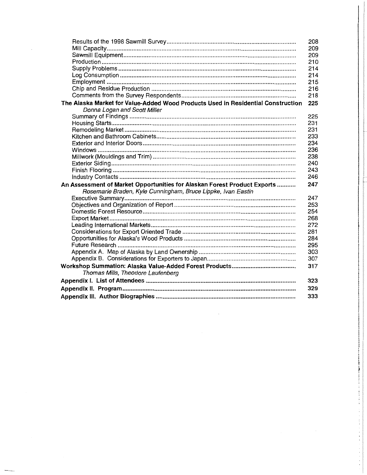|                                                                                  | 208 |
|----------------------------------------------------------------------------------|-----|
|                                                                                  | 209 |
|                                                                                  | 209 |
|                                                                                  | 210 |
|                                                                                  | 214 |
|                                                                                  | 214 |
|                                                                                  | 215 |
|                                                                                  | 216 |
|                                                                                  | 218 |
| The Alaska Market for Value-Added Wood Products Used in Residential Construction | 225 |
| Donna Logan and Scott Miller                                                     |     |
|                                                                                  | 225 |
|                                                                                  | 231 |
|                                                                                  | 231 |
|                                                                                  | 233 |
|                                                                                  | 234 |
|                                                                                  | 236 |
|                                                                                  | 238 |
|                                                                                  | 240 |
|                                                                                  | 243 |
|                                                                                  | 246 |
| An Assessment of Market Opportunities for Alaskan Forest Product Exports         | 247 |
| Rosemarie Braden, Kyle Cunningham, Bruce Lippke, Ivan Eastin                     |     |
|                                                                                  | 247 |
|                                                                                  | 253 |
|                                                                                  | 254 |
|                                                                                  | 268 |
|                                                                                  | 272 |
|                                                                                  | 281 |
|                                                                                  | 284 |
|                                                                                  | 295 |
|                                                                                  | 303 |
|                                                                                  | 307 |
|                                                                                  | 317 |
| Thomas Mills, Theodore Laufenberg                                                |     |
|                                                                                  | 323 |
|                                                                                  |     |
|                                                                                  | 329 |
|                                                                                  | 333 |
|                                                                                  |     |

 $\frac{1}{2}$  .

 $\cdot$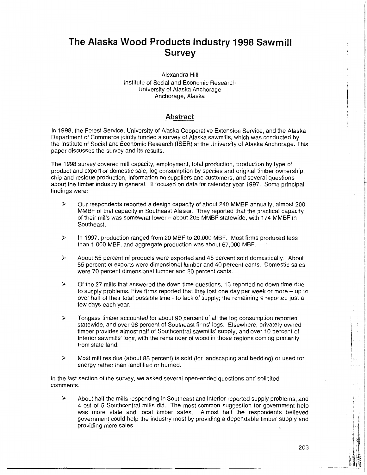## **The Alaska Wood Products Industry 1998 Sawmill Survey**

#### Alexandra Hill Institute of Social and Economic Research University of Alaska Anchorage Anchorage, Alaska

#### Abstract

In 1998, the Forest Service, University of Alaska Cooperative Extension Service, and the Alaska Department of Commerce jointly funded a survey of Alaska sawmills, which was conducted by the Institute of Social and Economic Research (!SER) at the University of Alaska Anchorage. This paper discusses the survey and its results.

The 1998 survey covered mill capacity, employment, total production, production by type of product and export or domestic sale, log consumption by species and original timber ownership, chip and residue production, information on suppliers and customers, and several questions about the timber industry in general. It focused on data for calendar year 1997. Some principal findings were:

- $\triangleright$  Our respondents reported a design capacity of about 240 MMBF annually, almost 200 MMBF of that capacity in Southeast Alaska. They reported that the practical capacity of their mills was somewhat lower - about 205 MMBF statewide, with 174 MMBF in Southeast.
- $\geq$  In 1997, production ranged from 20 MBF to 20,000 MBF. Most firms produced less than 1,000 MBF, and aggregate production was about 67,000 MBF.
- $\geq$  About 55 percent of products were exported and 45 percent sold domestically. About 55 percent of exports were dimensional lumber and 40 percent cants. Domestic sales were 70 percent dimensional lumber and 20 percent cants.
- $\geq$  Of the 27 mills that answered the down time questions, 13 reported no down time due to supply problems. Five firms reported that they lost one day per week or more  $-$  up to over half of their total possible time - to lack of supply; the remaining 9 reported just a few days each year.
- $\geq$  Tongass timber accounted for about 90 percent of all the log consumption reported statewide, and over 98 percent of Southeast firms' logs. Elsewhere, privately owned timber provides almost half of Southcentral sawmills' supply, and over 10 percent of Interior sawmills' logs, with the remainder of wood in those regions coming primarily from state land.
- $\geq$  Most mill residue (about 85 percent) is sold (for landscaping and bedding) or used for energy rather than landfilled or burned.

In the last section of the survey, we asked several open-ended questions and solicited comments.

 $\geq$  About half the mills responding in Southeast and Interior reported supply problems, and 4 out of 5 Southcentral mills did. The most common suggestion for government help was more state and local timber sales. Almost half the respondents believed government could help the industry most by providing a dependable timber supply and providing more sales

I I.  $\cdot$ 

 $\mathbb{R}^n$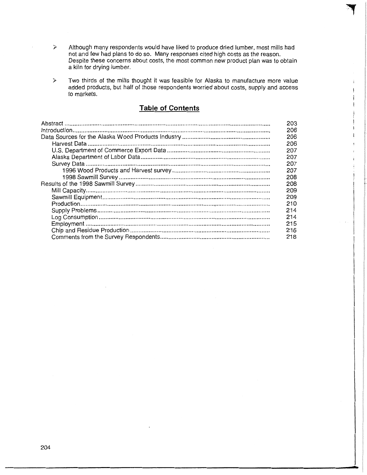- $\geq$  Although many respondents would have liked to produce dried lumber, most mills had not and few had plans to do so. Many responses cited high costs as the reason. Despite these concerns about costs, the most common new product plan was to obtain a kiln for drying lumber.
- $\geq$  Two thirds of the mills thought it was feasible for Alaska to manufacture more value added products, but half of those respondents worried about costs, supply and access to markets.

### **Table of Contents**

| 203 |
|-----|
| 206 |
| 206 |
| 206 |
| 207 |
| 207 |
| 207 |
| 207 |
| 208 |
| 208 |
| 209 |
| 209 |
| 210 |
| 214 |
| 214 |
| 215 |
| 216 |
| 218 |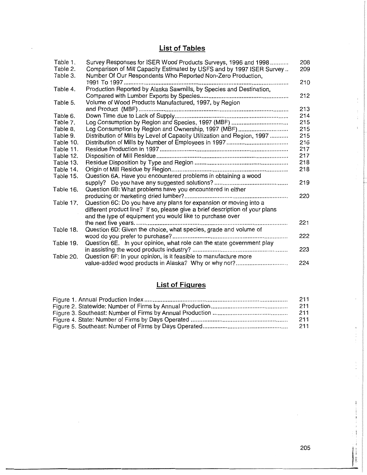## **List of Tables**

| Table 1.  | Survey Responses for ISER Wood Products Surveys, 1996 and 1998               | 208 |
|-----------|------------------------------------------------------------------------------|-----|
| Table 2.  | Comparison of Mill Capacity Estimated by USFS and by 1997 ISER Survey        | 209 |
| Table 3.  | Number Of Our Respondents Who Reported Non-Zero Production,                  |     |
|           |                                                                              | 210 |
| Table 4.  | Production Reported by Alaska Sawmills, by Species and Destination,          |     |
|           |                                                                              | 212 |
| Table 5.  | Volume of Wood Products Manufactured, 1997, by Region                        |     |
|           |                                                                              | 213 |
| Table 6.  |                                                                              | 214 |
| Table 7.  |                                                                              | 215 |
| Table 8.  | Log Consumption by Region and Ownership, 1997 (MBF)                          | 215 |
| Table 9.  | Distribution of Mills by Level of Capacity Utilization and Region, 1997      | 215 |
| Table 10. |                                                                              | 216 |
| Table 11. |                                                                              | 217 |
| Table 12. |                                                                              | 217 |
| Table 13. |                                                                              | 218 |
| Table 14. |                                                                              | 218 |
| Table 15. | Question 6A. Have you encountered problems in obtaining a wood               |     |
|           |                                                                              | 219 |
| Table 16. | Question 6B: What problems have you encountered in either                    |     |
|           |                                                                              | 220 |
| Table 17. | Question 6C: Do you have any plans for expansion or moving into a            |     |
|           | different product line? If so, please give a brief description of your plans |     |
|           | and the type of equipment you would like to purchase over                    |     |
|           | the next five years                                                          | 221 |
| Table 18. | Question 6D: Given the choice, what species, grade and volume of             |     |
|           |                                                                              | 222 |
| Table 19. | Question 6E. In your opinion, what role can the state government play        |     |
|           |                                                                              | 223 |
| Table 20. | Question 6F: In your opinion, is it feasible to manufacture more             |     |
|           |                                                                              | 224 |

# **List of Figures**

| 211 |
|-----|
| 211 |
| 211 |
| 211 |
| 211 |

 $\bar{z}$ 

I

 $\epsilon$ 

 $\frac{\epsilon}{\epsilon}$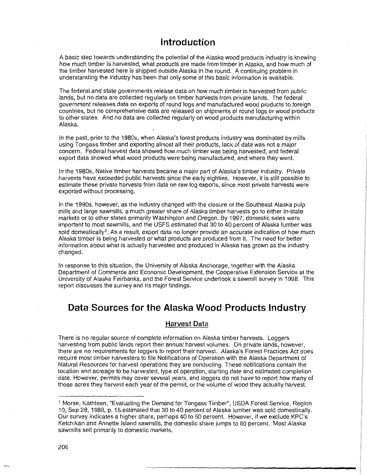### **Introduction**

A basic step towards understanding the potential of the Alaska wood products industry is knowing how much timber is harvested, what products are made from timber in Alaska, and how much of the timber harvested here is shipped outside Alaska in the round. A continuing problem in understanding the industry has been that only some of this basic information is available.

The federal and state governments release data on how much timber is harvested from public lands, but no data are collected regularly on timber harvests from private lands. The federal government releases data on exports of round logs and manufactured wood products to foreign countries, but no comprehensive data are released on shipments of round logs or wood products to other states. And no data are collected regularly on wood products manufacturing within Alaska.

In the past, prior to the 1980s, when Alaska's forest products industry was dominated by mills using Tongass timber and exporting almost all their products, lack of data was not a major concern. Federal harvest data showed how much timber was being harvested, and federal export data showed what wood products were being manufactured, and where they went.

In the 1980s, Native timber harvests became a major part of Alaska's timber industry. Private harvests have exceeded public harvests since the early eighties. However, it is still possible to estimate these private harvests from data on raw log exports, since most private harvests were exported without processing.

In the 1990s, however, as the industry changed with the closure of the Southeast Alaska pulp mills and large sawmills, a much greater share of Alaska timber harvests go to either in-state markets or to other states primarily Washington and Oregon. By 1997, domestic sales were important to most sawmills, and the USFS estimated that 30 to 40 percent of Alaska lumber was sold domestically<sup>1</sup>. As a result, export data no longer provide an accurate indication of how much Alaska timber is being harvested or what products are produced from it. The need for better information about what is actually harvested and produced in Alaska has grown as the industry changed.

In response to this situation, the University of Alaska Anchorage, together with the Alaska Department of Commerce and Economic Development, the Cooperative Extension Service at the University of Alaska Fairbanks, and the Forest Service undertook a sawmill survey in 1998. This report discusses the survey and its major findings.

### **Data Sources for the Alaska Wood Products Industry**

#### **Harvest Data**

There is no regular source of complete information on Alaska timber harvests. Loggers harvesting from public lands report their annual harvest volumes. On private lands, however, there are no requirements for loggers to report their harvest. Alaska's Forest Practices Act does require most timber harvesters to file Notifications of Operation with the Alaska Department of Natural Resources for harvest operations they are conducting. These notifications contain the location and acreage to be harvested, type of operation, starting date and estimated completion date. However, permits may cover several years, and loggers do not have to report how many of those acres they harvest each year of the permit, or the volume of wood they actually harvest.

<sup>1</sup>Morse, Kathleen, "Evaluating the Demand for Tongass Timber'', USDA Forest Service, Region 10, Sep 28, 1988, p. 15.estimated that 30 to 40 percent of Alaska lumber was sold domestically. Our survey indicates a higher share, perhaps 40 to 50 percent. However, if we exclude KPC's Ketchikan and Annette Island sawmills, the domestic share jumps to 80 percent. Most Alaska sawmills sell primarily to domestic markets.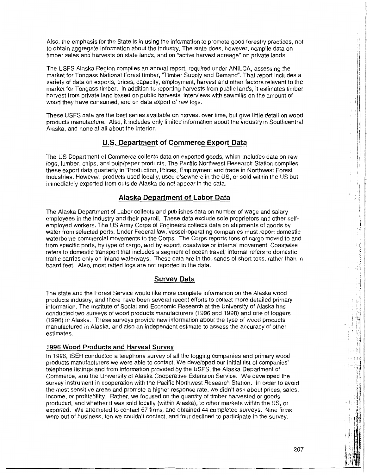Also, the emphasis for the State is in using the information to promote good forestry practices, not to obtain aggregate information about the industry. The state does, however, compile data on timber sales and harvests on state lands, and on "active harvest acreage" on private lands.

The USFS Alaska Region compiles an annual report, required under ANILCA, assessing the market for Tongass National Forest timber, "Timber Supply and Demand". That report includes a variety of data on exports, prices, capacity, employment, harvest and other factors relevant to the market tor Tongass timber. In addition to reporting harvests from public lands, it estimates timber harvest from private land based on public harvests, interviews with sawmills on the amount of wood they have consumed, and on data export of raw logs.

These USFS data are the best series available on harvest over time, but give little detail on wood products manufacture. Also, it includes only limited information about the industry in Southcentral Alaska, and none at all about the Interior.

#### **U.S. Department of Commerce Export Data**

The US Department of Commerce collects data on exported goods, which includes data on raw logs, lumber, chips, and pulp/paper products. The Pacific Northwest Research Station compiles these export data quarterly in "Production, Prices, Employment and trade in Northwest Forest Industries. However, products used locally, used elsewhere in the US, or sold within the US but immediately exported from outside Alaska do not appear in the data.

#### **Alaska Department of Labor Data**

The Alaska Department of Labor collects and publishes data on number of wage and salary employees in the industry and their payroll. These data exclude sole proprietors and other selfemploved workers. The US Army Corps of Engineers collects data on shipments of goods by water from selected ports. Under Federal law, vessel-operating companies must report domestic waterborne commercial movements to the Corps. The Corps reports tons of cargo moved to and from specific ports, by type of cargo, and by export, coastwise or internal movement. Coastwise refers to domestic transport that includes a segment of ocean travel; internal refers to domestic traffic carries only on inland waterways. These data are in thousands of short tons, rather than in board feet. Also, most rafted logs are not reported in the data.

#### **Survey Data**

The state and the Forest Service would like more complete information on the Alaska wood products industry, and there have been several recent efforts to collect more detailed primary information. The Institute of Social and Economic Research at the University of Alaska has conducted two surveys of wood products manufacturers (1996 and 1998) and one of loggers (1996) in Alaska. These surveys provide new information about the type of wood products manufactured in Alaska, and also an independent estimate to assess the accuracy of other estimates.

#### **1996 Wood Products and Harvest Survey**

In 1996, lSER conducted a telephone survey of all the logging companies and primary wood products manufacturers we were able to contact. We developed our initial list of companies' telephone listings and from information provided by the USFS, the Alaska Department of Commerce, and the University of Alaska Cooperative Extension Service. We developed the survey instrument in cooperation with the Pacific Northwest Research Station. In order to avoid the most sensitive areas and promote a higher response rate, we didn't ask about prices, sales, income, or profitability. Rather, we focused on the quantity of timber harvested or goods produced, and whether it was sold locally (within Alaska), to other markets within the US, or exported. We attempted to contact 67 firms, and obtained 44 completed surveys. Nine firms were out of business, ten we couldn't contact, and four declined to participate in the survey.

I j, ,.  $\mathbf{r}$  .  $\mathbf{r}$  is a result of  $\mathbf{r}$ 

 $\mathbf{F}$ 

 $\ddot{i}$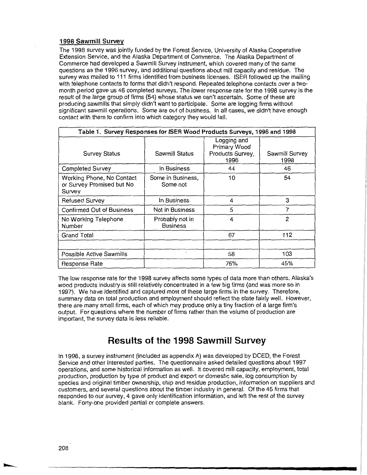#### **1998 Sawmill Survey**

The 1998 survey was jointly funded by the Forest Service, University of Alaska Cooperative Extension Service, and the Alaska Department of Commerce. The Alaska Department of Commerce had developed a Sawmill Survey instrument, which covered many of the same questions as the 1996 survey, and additional questions about mill capacity and residue. The survey was mailed to 111 firms identified from business licenses. ISER followed up the mailing with telephone contacts to forms that didn't respond. Repeated telephone contacts over a twomonth period gave us 46 completed surveys. The lower response rate for the 1998 survey is the result of the large group of firms (54) whose status we can't ascertain. Some of these are producing sawmills that simply didn't want to participate. Some are logging firms without significant sawmill operations. Some are out of business. In all cases, we didn't have enough contact with them to confirm into which category they would fall.

| Table 1. Survey Responses for ISER Wood Products Surveys, 1996 and 1998 |                                    |                                                         |                        |  |  |
|-------------------------------------------------------------------------|------------------------------------|---------------------------------------------------------|------------------------|--|--|
| <b>Survey Status</b>                                                    | Sawmill Status                     | Logging and<br>Primary Wood<br>Products Survey,<br>1996 | Sawmill Survey<br>1998 |  |  |
| <b>Completed Survey</b>                                                 | In Business                        | 44                                                      | 46                     |  |  |
| Working Phone, No Contact<br>or Survey Promised but No<br>Survey        | Some in Business,<br>Some not      | 10                                                      | 54                     |  |  |
| <b>Refused Survey</b>                                                   | In Business                        | 4                                                       | 3                      |  |  |
| <b>Confirmed Out of Business</b>                                        | Not in Business                    | 5                                                       | 7                      |  |  |
| No Working Telephone<br>Number                                          | Probably not in<br><b>Business</b> | 4                                                       | 2                      |  |  |
| Grand Total                                                             |                                    | 67                                                      | 112                    |  |  |
|                                                                         |                                    |                                                         |                        |  |  |
| <b>Possible Active Sawmills</b>                                         |                                    | 58                                                      | 103                    |  |  |
| Response Rate                                                           |                                    | 76%                                                     | 45%                    |  |  |

The low response rate for the 1998 survey affects some types of data more than others. Alaska's wood products industry is still relatively concentrated in a few big firms (and was more so in 1997). We have identified and captured most of these large firms in the survey. Therefore, summary data on total production and employment should reflect the state fairly well. However, there are many small firms, each of which may produce only a tiny fraction of a large firm's output. For questions where the number of firms rather than the volume of production are important, the survey data is less reliable.

### **Results of the 1998 Sawmill Survey**

In 1998, a survey instrument (included as appendix A) was developed by DCED, the Forest Service and other interested parties. The questionnaire asked detailed questions about 1997 operations, and some historical information as well. It covered mill capacity, employment, total production, production by type of product and export or domestic sale, log consumption by species and original timber ownership, chip and residue production, information on suppliers and customers, and several questions about the timber industry in general. Of the 45 firms that responded to our survey, 4 gave only identification information, and left the rest of the survey blank. Forty-one provided partial or complete answers.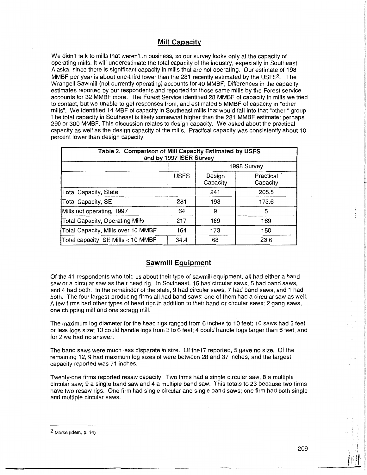#### **Mill Capacity**

We didn't talk to mills that weren't in business, so our survey looks only at the capacity of operating mills. It will underestimate the total capacity of the industry, especially in Southeast Alaska, since there is significant capacity in mills that are not operating. Our estimate of 198 MMBF per year is about one-third lower than the 281 recently estimated by the USFS<sup>2</sup>. The Wrangell Sawmill (not currently operating) accounts for 40 MMBF; Differences in the capacity estimates reported by our respondents and reported for those same mills by the Forest service accounts for 32 MMBF more. The Forest Service identified 28 MMBF of capacity in mills we tried to contact, but we unable to get responses from, and estimated 5 MMBF of capacity in "other mills". We identified 14 MBF of capacity in Southeast mills that would fall into that "other" group. The total capacity in Southeast is likely somewhat higher than the 281 MMBF estimate: perhaps 290 or 300 MMBF. This discussion relates to design capacity. We asked about the practical capacity as well as the design capacity of the mills. Practical capacity was consistently about 10 percent lower than design capacity.

| Table 2. Comparison of Mill Capacity Estimated by USFS<br>and by 1997 ISER Survey |             |                                             |       |  |  |
|-----------------------------------------------------------------------------------|-------------|---------------------------------------------|-------|--|--|
|                                                                                   | 1998 Survey |                                             |       |  |  |
|                                                                                   | <b>USFS</b> | Practical<br>Design<br>Capacity<br>Capacity |       |  |  |
| Total Capacity, State                                                             |             | 241                                         | 205.5 |  |  |
| Total Capacity, SE                                                                | 281         | 198                                         | 173.6 |  |  |
| Mills not operating, 1997                                                         | 64          | 9                                           | 5     |  |  |
| <b>Total Capacity, Operating Mills</b>                                            | 217         | 189                                         | 169   |  |  |
| Total Capacity, Mills over 10 MMBF                                                | 164         | 173                                         | 150   |  |  |
| Total capacity, SE Mills < 10 MMBF<br>68<br>23.6<br>34.4                          |             |                                             |       |  |  |

#### **Sawmill Equipment**

Of the 41 respondents who told us about their type of sawmill equipment, all had either a band saw or a circular saw as their head rig. In Southeast, 15 had circular saws, 5 had band saws, and 4 had both. In the remainder of the state, 9 had circular saws, 7 had band saws, and 1 had both. The four largest-producing firms all had band saws; one of them had a circular saw as well. A few firms had other types of head rigs in addition to their band or circular saws: 2 gang saws, one chipping mill and one scragg mill.

The maximum log diameter for the head rigs ranged from 6 inches to 10 feet; 10 saws had 3 feet or less logs size; 13 could handle logs from 3 to 6 feet; 4 could handle logs larger than 6 feet, and for 2 we had no answer.

The band saws were much less disparate in size. Of the17 reported, 5 gave no size. Of the remaining 12, 9 had maximum log sizes of were between 28 and 37 inches, and the largest capacity reported was 71 inches.

Twenty-one firms reported resaw capacity. Two firms had a single circular saw, 8 a multiple circular saw; 9 a single band saw and 4 a multiple band saw. This totals to 23 because two firms have two resaw rigs. One firm had single circular and single band saws; one firm had both single and multiple circular saws.

I  $\parallel$ i $\parallel$ i $\parallel$  $\mathbb{I}$  if

<sup>2</sup> Morse (Idem, p. 14)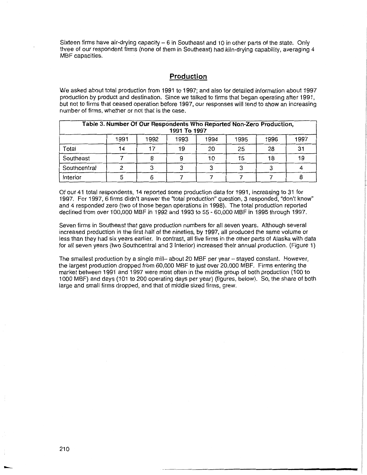Sixteen firms have air-drying capacity  $-6$  in Southeast and 10 in other parts of the state. Only three of our respondent firms (none of them in Southeast) had kiln-drying capability, averaging 4 MBF capacities.

#### **Production**

We asked about total production from 1991 to 1997; and also for detailed information about 1997 production by product and destination. Since we talked to firms that began operating after 1991, but not to firms that ceased operation before 1997, our responses will tend to show an increasing number of firms, whether or not that is the case.

| Table 3. Number Of Our Respondents Who Reported Non-Zero Production,<br>1991 To 1997 |    |  |    |    |    |    |    |
|--------------------------------------------------------------------------------------|----|--|----|----|----|----|----|
| 1991<br>1992<br>1997<br>1993<br>1995<br>1994<br>1996                                 |    |  |    |    |    |    |    |
| Total                                                                                | 14 |  | 19 | 20 | 25 | 28 | 31 |
| Southeast                                                                            |    |  |    | 10 | 15 | 18 | 19 |
| Southcentral                                                                         |    |  |    |    | ີ  |    |    |
| Interior                                                                             |    |  |    |    |    |    |    |

Of our 41 total respondents, 14 reported some production data for 1991, increasing to 31 for 1997. For 1997, 6 firms didn't answer the "total production" question, 3 responded, "don't know" and 4 responded zero (two of those began operations in 1998). The total production reported declined from over 100,000 MBF in 1992 and 1993 to 55 - 60,000 MBF in 1995 through 1997.

Seven firms in Southeast that gave production numbers for all seven years. Although several increased production in the first half of the nineties, by 1997, all produced the same volume or less than they had six years earlier. In contrast, all five firms in the other parts of Alaska with data for all seven years (two Southcentral and 3 Interior) increased their annual production. (Figure 1)

The smallest production by a single mill-about 20 MBF per year - stayed constant. However, the largest production dropped from 60,000 MBF to just over 20,000 MBF. Firms entering the market between 1991 and 1997 were most often in the middle group of both production (100 to 1000 MBF) and days (101 to 200 operating days per year) (figures, below). So, the share of both large and small firms dropped, and that of middle sized firms, grew.

-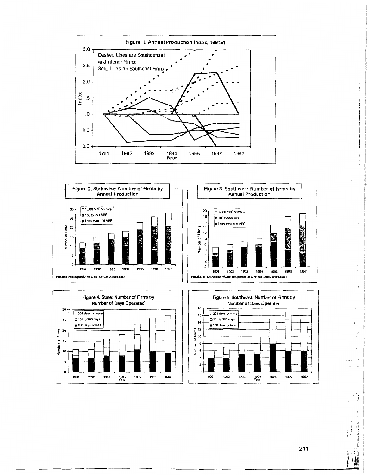







211

 $\mathbf{i}$  .  $\mathbb{L}$  ,  $\mathbb{I}$ ,, '· :,d **J III** 

÷

 $\frac{1}{3}$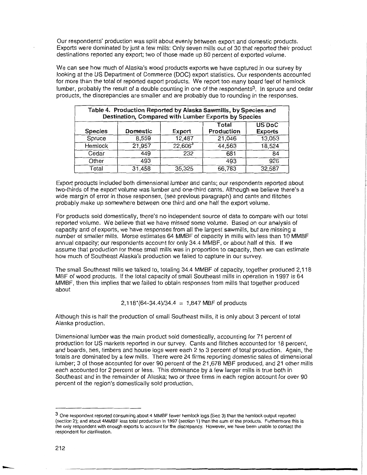Our respondents' production was split about evenly between export and domestic products. Exports were dominated by just a few mills: Only seven mills out of 30 that reported their product destinations reported any export; two of those made up 80 percent of exported volume.

We can see how much of Alaska's wood products exports we have captured in our survey by looking at the US Department of Commerce (DOC) export statistics. Our respondents accounted for more than the total of reported export products. We report too many board feet of hemlock lumber, probably the result of a double counting in one of the respondents<sup>3</sup>. In spruce and cedar products, the discrepancies are smaller and are probably due to rounding in the responses.

| Table 4. Production Reported by Alaska Sawmills, by Species and<br>Destination, Compared with Lumber Exports by Species |                 |                     |            |                |
|-------------------------------------------------------------------------------------------------------------------------|-----------------|---------------------|------------|----------------|
|                                                                                                                         |                 |                     | Total      | <b>US DoC</b>  |
| <b>Species</b>                                                                                                          | <b>Domestic</b> | Export              | Production | <b>Exports</b> |
| Spruce                                                                                                                  | 8,559           | 12,487              | 21,046     | 13,053         |
| <b>Hemlock</b>                                                                                                          | 21,957          | 22,606 <sup>3</sup> | 44,563     | 18,524         |
| Cedar                                                                                                                   | 449             | 232                 | 681        | 84             |
| Other                                                                                                                   | 493             |                     | 493        | 926            |
| Total                                                                                                                   | 31,458          | 35,325              | 66,783     | 32,587         |

Export products included both dimensional lumber and cants; our respondents reported about two-thirds of the export volume was lumber and one-third cants. Although we believe there's a wide margin of error in those responses, (see previous paragraph) and cants and flitches probably make up somewhere between one third and one half the export volume.

For products sold domestically, there's no independent source of data to compare with our total reported volume. We believe that we have missed some volume. Based on our analysis of capacity and of exports, we have responses from all the largest sawmills, but are missing a number of smaller mills. Morse estimates 64 MMBF of capacity in mills with less than 10 MMBF annual capacity; our respondents account for only 34.4 MMBF, or about half of this. If we assume that production for these small mills was in proportion to capacity, then we can estimate how much of Southeast Alaska's production we failed to capture in our survey.

The small Southeast mills we talked to, totaling 34.4 MMBF of capacity, together produced 2,118 MBF of wood products. If the total capacity of small Southeast mills in operation in 1997 is 64 MMBF, then this implies that we failed to obtain responses from mills that together produced about

 $2,118^{(64-34.4)/34.4} = 1,847$  MBF of products

Although this is half the production of small Southeast mills, it is only about 3 percent of total Alaska production.

Dimensional lumber was the main product sold domestically, accounting for 71 percent of production for US markets reported in our survey. Cants and flitches accounted for 18 percent, and boards, ties, timbers and house logs were each 2 to 3 percent of total production. Again, the totals are dominated by a few mills. There were 24 firms reporting domestic sales of dimensional lumber; 3 of those accounted for over 90 percent of the 21,678 MBF produced, and 21 other mills each accounted for 2 percent or less. This dominance by a few larger mills is true both in Southeast and in the remainder of Alaska; two or three firms in each region account for over 90 percent of the region's domestically sold production.

---

<sup>3</sup> One respondent reported consuming about 4 MMBF fewer hemlock logs (Sec 3) than the hemlock output reported (section 2); and about 4MMBF less total production in 1997 (section 1) than the sum of the products. Furthermore this is the only respondent with enough exports to account for the discrepancy. However, we have been unable to contact the respondent for clarification.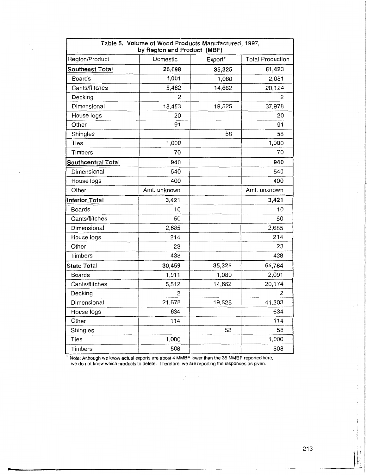| Table 5. Volume of Wood Products Manufactured, 1997,<br>by Region and Product (MBF) |                |         |                         |  |  |
|-------------------------------------------------------------------------------------|----------------|---------|-------------------------|--|--|
| Region/Product                                                                      | Domestic       | Export* | <b>Total Production</b> |  |  |
| <b>Southeast Total</b>                                                              | 26,098         | 35,325  | 61,423                  |  |  |
| <b>Boards</b>                                                                       | 1,001          | 1,080   | 2,081                   |  |  |
| Cants/flitches                                                                      | 5,462          | 14,662  | 20,124                  |  |  |
| Decking                                                                             | $\overline{c}$ |         | $\overline{c}$          |  |  |
| Dimensional                                                                         | 18,453         | 19,525  | 37,978                  |  |  |
| House logs                                                                          | 20             |         | 20                      |  |  |
| Other                                                                               | 91             |         | 91                      |  |  |
| Shingles                                                                            |                | 58      | 58                      |  |  |
| <b>Ties</b>                                                                         | 1,000          |         | 1,000                   |  |  |
| Timbers                                                                             | 70             |         | 70                      |  |  |
| <b>Southcentral Total</b>                                                           | 940            |         | 940                     |  |  |
| Dimensional                                                                         | 540            |         | 540                     |  |  |
| House logs                                                                          | 400            |         | 400                     |  |  |
| Other                                                                               | Amt. unknown   |         | Amt. unknown            |  |  |
| <b>Interior Total</b>                                                               | 3,421          |         | 3,421                   |  |  |
| <b>Boards</b>                                                                       | 10             |         | 10                      |  |  |
| Cants/flitches                                                                      | 50             |         | 50                      |  |  |
| Dimensional                                                                         | 2,685          |         | 2,685                   |  |  |
| House logs                                                                          | 214            |         | 214                     |  |  |
| Other                                                                               | 23             |         | 23                      |  |  |
| Timbers                                                                             | 438            |         | 438                     |  |  |
| <b>State Total</b>                                                                  | 30,459         | 35,325  | 65,784                  |  |  |
| Boards                                                                              | 1,011          | 1,080   | 2,091                   |  |  |
| Cants/flitches                                                                      | 5,512          | 14,662  | 20,174                  |  |  |
| Decking                                                                             | 2              |         | 2                       |  |  |
| Dimensional                                                                         | 21,678         | 19,525  | 41,203                  |  |  |
| House logs                                                                          | 634            |         | 634                     |  |  |
| Other                                                                               | 114            |         | 114                     |  |  |
| Shingles                                                                            |                | 58      | 58                      |  |  |
| Ties                                                                                | 1,000          |         | 1,000                   |  |  |
| Timbers                                                                             | 508            |         | 508                     |  |  |

)<br>Da

Note: Although we know actual exports are about 4 MMBF lower than the 35 MMBF reported here, we do not know which products to delete. Therefore, we are reporting the responses as given.

 $\overline{\phantom{a}}$ 

 $\cdot$  ;

 $\mathbf{1}$ 

 $\overline{\mathbf{r}}$ 

 $\frac{1}{2}$ 

 $\frac{1}{3}$ 

l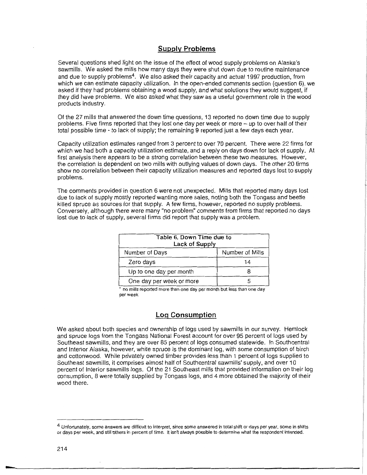#### **Supply Problems**

Several questions shed light on the issue of the effect of wood supply problems on Alaska's sawmills. We asked the mills how many days they were shut down due to routine maintenance and due to supply problems<sup>4</sup>. We also asked their capacity and actual 1997 production, from which we can estimate capacity utilization. In the open-ended comments section (question 6), we asked if they had problems obtaining a wood supply, and what solutions they would suggest, if they did have problems. We also asked what they saw as a useful government role in the wood products industry.

Of the 27 mills that answered the down time questions, 13 reported no down time due to supply problems. Five firms reported that they lost one day per week or more - up to over half of their total possible time - to lack of supply; the remaining 9 reported just a few days each year.

Capacity utilization estimates ranged from 3 percent to over 70 percent. There were 22 firms for which we had both a capacity utilization estimate, and a reply on days down for lack of supply. At first analysis there appears to be a strong correlation between these two measures. However, the correlation is dependent on two mills with outlying values of down days. The other 20 firms show no correlation between their capacity utilization measures and reported days lost to supply problems.

The comments provided in question 6 were not unexpected. Mills that reported many days lost due to lack of supply mostly reported wanting more sales, noting both the Tongass and beetle killed spruce as sources for that supply. A few firms, however, reported no supply problems. Conversely, although there were many "no problem" comments from firms that reported no days lost due to lack of supply, several firms did report that supply was a problem.

| Table 6, Down Time due to<br>Lack of Supply |                 |  |  |  |
|---------------------------------------------|-----------------|--|--|--|
| Number of Days                              | Number of Mills |  |  |  |
| Zero days                                   | 14              |  |  |  |
| Up to one day per month                     |                 |  |  |  |
| One day per week or more                    |                 |  |  |  |

• no mills reported more than one day per month but less than one day per week

#### **Log Consumption**

We asked about both species and ownership of logs used by sawmills in our survey. Hemlock and spruce logs from the Tongass National Forest account for over 95 percent of logs used by Southeast sawmills, and they are over 85 percent of logs consumed statewide. In Southcentral and Interior Alaska, however, white spruce is the dominant log, with some consumption of birch and cottonwood. While privately owned timber provides less than 1 percent of logs supplied to Southeast sawmills, it comprises almost half of Southcentral sawmills' supply, and over 10 percent of Interior sawmills logs. Of the 21 Southeast mills that provided information on their log consumption, 8 were totally supplied by Tongass logs, and 4 more obtained the majority of their wood there.

<sup>4</sup> Unfortunately, some answers are difficult to interpret, since some answered in total shift or days per year, some in shifts or days per week, and still others in percent of time. It isn't always possible to determine what the respondent intended.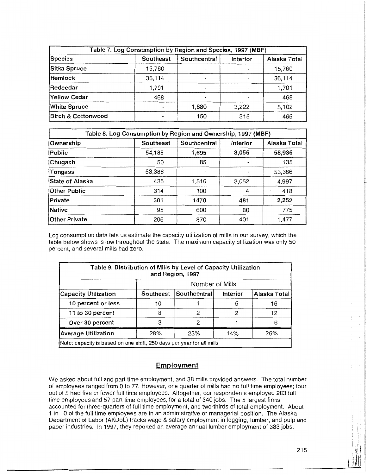| Table 7. Log Consumption by Region and Species, 1997 (MBF) |           |              |          |              |  |
|------------------------------------------------------------|-----------|--------------|----------|--------------|--|
| Species                                                    | Southeast | Southcentral | Interior | Alaska Total |  |
| Sitka Spruce                                               | 15,760    |              |          | 15,760       |  |
| <b>Hemlock</b>                                             | 36,114    |              |          | 36,114       |  |
| Redcedar                                                   | 1,701     |              |          | 1,701        |  |
| Yellow Cedar                                               | 468       |              |          | 468          |  |
| <b>White Spruce</b>                                        |           | 1,880        | 3,222    | 5,102        |  |
| <b>Birch &amp; Cottonwood</b>                              |           | 150          | 315      | 465          |  |

| Table 8. Log Consumption by Region and Ownership, 1997 (MBF) |                                                       |       |       |        |  |
|--------------------------------------------------------------|-------------------------------------------------------|-------|-------|--------|--|
| Ownership                                                    | Alaska Total<br>Interior<br>Southeast<br>Southcentral |       |       |        |  |
| Public                                                       | 54,185                                                | 1,695 | 3,056 | 58,936 |  |
| Chugach                                                      | 50                                                    | 85    |       | 135    |  |
| Tongass                                                      | 53,386                                                |       |       | 53,386 |  |
| State of Alaska                                              | 435                                                   | 1,510 | 3,052 | 4,997  |  |
| <b>Other Public</b>                                          | 314                                                   | 100   | 4     | 418    |  |
| Private                                                      | 301                                                   | 1470  | 481   | 2,252  |  |
| Native                                                       | 95                                                    | 600   | 80    | 775    |  |
| <b>Other Private</b>                                         | 206                                                   | 870   | 401   | 1,477  |  |

Log consumption data lets us estimate the capacity utilization of mills in our survey, which the table below shows is low throughout the state. The maximum capacity utilization was only 50 percent, and several mills had zero.

| Table 9. Distribution of Mills by Level of Capacity Utilization       |                                                       | and Region, 1997 |   |    |  |  |  |  |
|-----------------------------------------------------------------------|-------------------------------------------------------|------------------|---|----|--|--|--|--|
|                                                                       | Number of Mills                                       |                  |   |    |  |  |  |  |
| <b>Capacity Utilization</b>                                           | Southcentral<br>Alaska Total<br>Interior<br>Southeast |                  |   |    |  |  |  |  |
| 10 percent or less                                                    | 10                                                    |                  | 5 | 16 |  |  |  |  |
| 11 to 30 percent                                                      | 8                                                     | 12<br>2<br>2     |   |    |  |  |  |  |
| Over 30 percent                                                       | 6<br>3<br>2                                           |                  |   |    |  |  |  |  |
| 26%<br>23%<br>28%<br>14%<br><b>Average Utilization</b>                |                                                       |                  |   |    |  |  |  |  |
| Note: capacity is based on one shift, 250 days per year for all mills |                                                       |                  |   |    |  |  |  |  |

#### **Employment**

We asked about full and part time employment, and 38 mills provided answers. The total number of employees ranged from 0 to 77. However, one quarter of mills had no full time employees; four out of 5 had five or fewer full time employees. Altogether, our respondents employed 283 full time employees and 57 part time employees, for a total of 340 jobs. The 5 largest firms accounted for three-quarters of full time employment, and two-thirds of total employment. About 1 in 10 of the full time employees are in an administrative or managerial position. The Alaska Department of Labor (AKDoL) tracks wage & salary employment in logging, lumber, and pulp and paper industries. In 1997, they reported an average annual lumber employment of 383 jobs.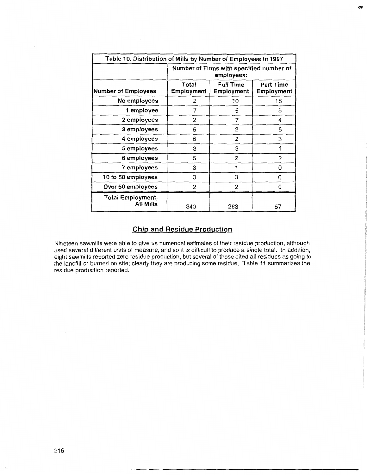| Table 10. Distribution of Mills by Number of Employees in 1997 |                                                                                         |     |    |  |  |  |
|----------------------------------------------------------------|-----------------------------------------------------------------------------------------|-----|----|--|--|--|
|                                                                | Number of Firms with specified number of<br>employees:                                  |     |    |  |  |  |
| <b>Number of Employees</b>                                     | <b>Full Time</b><br>Total<br><b>Part Time</b><br>Employment<br>Employment<br>Employment |     |    |  |  |  |
| No employees                                                   | 2                                                                                       | 10  | 18 |  |  |  |
| 1 employee                                                     | 7                                                                                       | 6   | 5  |  |  |  |
| 2 employees                                                    | 2                                                                                       | 4   |    |  |  |  |
| 3 employees                                                    | 5                                                                                       | 5   |    |  |  |  |
| 4 employees                                                    | 6                                                                                       | 2   | 3  |  |  |  |
| 5 employees                                                    | 3                                                                                       | 3   | 1  |  |  |  |
| 6 employees                                                    | $\mathfrak{p}$<br>$\overline{2}$<br>5                                                   |     |    |  |  |  |
| 7 employees                                                    | 3                                                                                       | 1   | 0  |  |  |  |
| 10 to 50 employees                                             | 3<br>3<br>0                                                                             |     |    |  |  |  |
| Over 50 employees                                              | 2<br>$\overline{c}$<br>$\Omega$                                                         |     |    |  |  |  |
| <b>Total Employment,</b><br>All Mills                          | 340                                                                                     | 283 | 57 |  |  |  |

#### **Chip and Residue Production**

Nineteen sawmills were able to give us numerical estimates of their residue production, although used several different units of measure, and so it is difficult to produce a single total. In addition, eight sawmills reported zero residue production, but several of those cited all residues as going to the landfill or burned on site; clearly they are producing some residue. Table 1 i summarizes the residue production reported.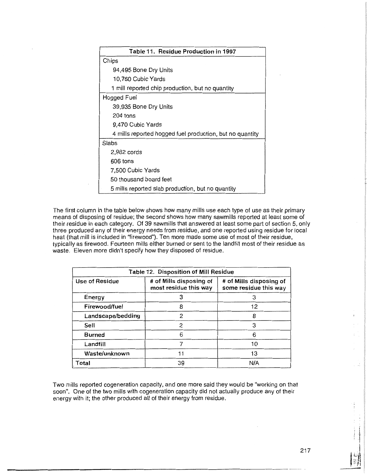| Table 11. Residue Production in 1997                     |
|----------------------------------------------------------|
| Chips                                                    |
| 94,495 Bone Dry Units                                    |
| 10,760 Cubic Yards                                       |
| 1 mill reported chip production, but no quantity         |
| Hogged Fuel                                              |
| 39,935 Bone Dry Units                                    |
| 204 tons                                                 |
| 9,470 Cubic Yards                                        |
| 4 mills reported hogged fuel production, but no quantity |
| Slabs                                                    |
| 2,982 cords                                              |
| 606 tons                                                 |
| 7,500 Cubic Yards                                        |
| 50 thousand board feet                                   |
| 5 mills reported slab production, but no quantity        |

The first column in the table below shows how many mills use each type of use as their primary means of disposing of residue; the second shows how many sawmills reported at least some of their residue in each category. Of 39 sawmills that answered at least some part of section 5, only three produced any of their energy needs from residue, and one reported using residue for local heat (that mill is included in "firewood"). Ten more made some use of most of their residue, typically as firewood. Fourteen mills either burned or sent to the landfill most of their residue as waste. Eleven more didn't specify how they disposed of residue.

| Table 12. Disposition of Mill Residue |                                                  |                                                  |  |  |
|---------------------------------------|--------------------------------------------------|--------------------------------------------------|--|--|
| Use of Residue                        | # of Mills disposing of<br>most residue this way | # of Mills disposing of<br>some residue this way |  |  |
| Energy                                | 3                                                | 3                                                |  |  |
| Firewood/fuel                         | 8                                                | $12 \overline{ }$                                |  |  |
| Landscape/bedding                     | 2                                                | 8                                                |  |  |
| Sell                                  | 2                                                | 3                                                |  |  |
| <b>Burned</b>                         | 6                                                | 6                                                |  |  |
| Landfill                              |                                                  | 10                                               |  |  |
| Waste/unknown                         | 13                                               |                                                  |  |  |
| Total                                 | 39                                               | N/A                                              |  |  |

Two mills reported cogeneration capacity, and one more said they would be "working on that soon". One of the two mills with cogeneration capacity did not actually produce any of their energy with it; the other produced all of their energy from residue.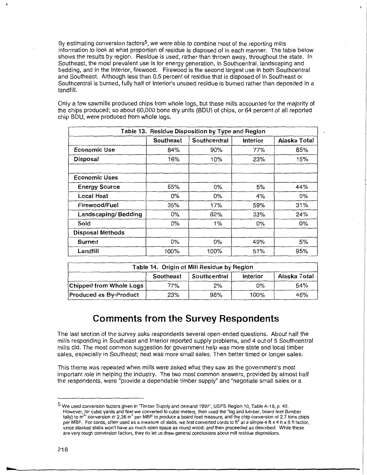By estimating conversion factors<sup>5</sup>, we were able to combine most of the reporting mills information to look at what proportion of residue is disposed of in each manner. The table below shows the results by region. Residue is used, rather than thrown away, throughout the state. In Southeast, the most prevalent use is for energy generation, in Southcentral, landscaping and bedding, and in the Interior, firewood. Firewood is the second largest use in both Southcentral and Southeast. Although less than 0.5 percent of residue that is disposed of in Southeast or Southcentral is burned, fully half of Interior's unused residue is burned rather than deposited in a landfill.

Only a few sawmills produced chips from whole logs, but these mills accounted for the majority of the chips produced; so about 60,000 bone dry units (BOU) of chips, or 64 percent of all reported chip BOU, were produced from whole logs.

| Table 13. Residue Disposition by Type and Region |           |              |          |              |  |
|--------------------------------------------------|-----------|--------------|----------|--------------|--|
|                                                  | Southeast | Southcentral | Interior | Alaska Total |  |
| Economic Use                                     | 84%       | 90%          | 77%      | 85%          |  |
| Disposal                                         | 16%       | 10%          | 23%      | 15%          |  |
|                                                  |           |              |          |              |  |
| <b>Economic Uses</b>                             |           |              |          |              |  |
| <b>Energy Source</b>                             | 65%       | $0\%$        | 5%       | 44%          |  |
| Local Heat                                       | 0%        | $0\%$        | 4%       | 0%           |  |
| Firewood/Fuel                                    | 35%       | 17%          | 59%      | 31%          |  |
| Landscaping/Bedding                              | $0\%$     | 82%          | 33%      | 24%          |  |
| Sold                                             | 0%        | 1%           | 0%       | 0%           |  |
| <b>Disposal Methods</b>                          |           |              |          |              |  |
| <b>Burned</b>                                    | 0%        | 0%           | 49%      | 5%           |  |
| Landfill                                         | 100%      | 100%         | 51%      | 95%          |  |

| Table 14. Origin of Mill Residue by Region            |     |     |      |     |  |
|-------------------------------------------------------|-----|-----|------|-----|--|
| Alaska Total<br>Southcentral<br>Southeast<br>Interior |     |     |      |     |  |
| Chipped from Whole Logs                               | 77% | 2%  | 0%   | 54% |  |
| Produced as By-Product                                | 23% | 98% | 100% | 46% |  |

## **Comments from the Survey Respondents**

The last section of the survey asks respondents several open-ended questions. About half the mills responding in Southeast and Interior reported supply problems, and 4 out of 5 Southcentral mills did. The most common suggestion for government help was more state and local timber sales, especially in Southeast; next was more small sales. Then better timed or longer sales.

This theme was repeated when mills were asked what they saw as the government's most important role in helping the industry. The two most common answers, provided by almost half the respondents, were "provide a dependable timber supply" and "negotiate small sales or a

<sup>5</sup> We used conversion factors given in "Timber Supply and demand 1997", USFS Region 10, Table A-18, p. 42. However, for cubic yards and feet we converted to cubic meters, then used the "log and lumber, board feet (lumber tally) to m<sup>3</sup>" conversion of 2.36 m<sup>3</sup> per MBF to produce a board feet measure, and the chip conversion of 2.7 tons chips per MBF. For cords, often used as a measure of slabs, we first converted cords to  $t<sup>3</sup>$  at a simple 4 ft x 4 ft x 8 ft factor, since stacked slabs won't have as much open space as round wood; and then proceeded as described. While these are very rough conversion factors, they do let us draw general conclusions about mill residue dispositions.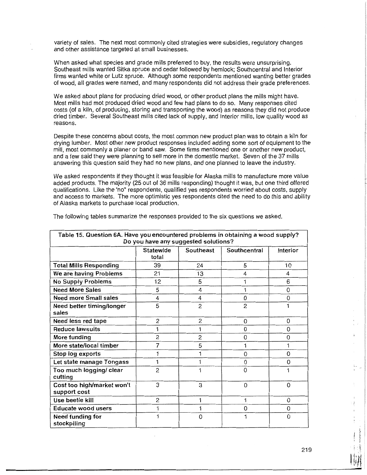variety of sales. The next most commonly cited strategies were subsidies, regulatory changes and other assistance targeted at small businesses.

When asked what species and grade mills preferred to buy, the results were unsurprising. Southeast mills wanted Sitka spruce and cedar followed by hemlock; Southcentral and Interior firms wanted white or Lutz spruce. Although some respondents mentioned wanting better grades of wood, all grades were named, and many respondents did not address their grade preferences.

We asked about plans for producing dried wood, or other product plans the mills might have. Most mills had mot produced dried wood and few had plans to do so. Many responses cited costs (of a kiln, of producing, storing and transporting the wood) as reasons they did not produce dried timber. Several Southeast mills cited lack of supply, and Interior mills, low quality wood as reasons.

Despite these concerns about costs, the most common new product plan was to obtain a kiln for drying lumber. Most other new product responses included adding some sort of equipment to the mill, most commonly a planer or band saw. Some firms mentioned one or another new product, and a few said they were planning to sell more in the domestic market. Seven of the 37 mills answering this question said they had no new plans, and one planned to leave the industry.

We asked respondents if they thought it was feasible for Alaska mills to manufacture more value added products. The majority (25 out of 36 mills responding) thought it was, but one third offered qualifications. Like the 'no" respondents, qualified yes respondents worried about costs, supply and access to markets. The more optimistic yes respondents cited the need to do this and ability of Alaska markets to purchase local production.

| Table 15. Question 6A. Have you encountered problems in obtaining a wood supply?<br>Do you have any suggested solutions? |                    |                |              |          |  |  |
|--------------------------------------------------------------------------------------------------------------------------|--------------------|----------------|--------------|----------|--|--|
|                                                                                                                          | Statewide<br>total | Southeast      | Southcentral | Interior |  |  |
| <b>Total Mills Responding</b>                                                                                            | 39                 | 24             | 5            | 10       |  |  |
| We are having Problems                                                                                                   | 21                 | 13             | 4            | 4        |  |  |
| <b>No Supply Problems</b>                                                                                                | 12                 | 5              | 1            | 6        |  |  |
| <b>Need More Sales</b>                                                                                                   | 5                  | 4              | 1            | 0        |  |  |
| <b>Need more Small sales</b>                                                                                             | 4                  | 4              | 0            | 0        |  |  |
| Need better timing/longer<br>sales                                                                                       | 5                  | $\overline{c}$ | 2            | 1        |  |  |
| Need less red tape                                                                                                       | 2                  | 2              | 0            | 0        |  |  |
| <b>Reduce lawsuits</b>                                                                                                   |                    | 1              | 0            | 0        |  |  |
| More funding                                                                                                             | 2                  | 2              | 0            | 0        |  |  |
| More state/local timber                                                                                                  | 7                  | 5              | 1            | 1        |  |  |
| Stop log exports                                                                                                         |                    | 1              | 0            | 0        |  |  |
| Let state manage Tongass                                                                                                 |                    |                | 0            | 0        |  |  |
| Too much logging/ clear<br>cutting                                                                                       | $\overline{c}$     |                | 0            | 1        |  |  |
| Cost too high/market won't<br>support cost                                                                               | 3                  | 3              | 0            | 0        |  |  |
| Use beetle kill                                                                                                          | 2                  | 1              | 1            | $\Omega$ |  |  |
| Educate wood users                                                                                                       |                    | 1              | 0            | 0        |  |  |
| Need funding for<br>stockpiling                                                                                          |                    | 0              | 1            | 0        |  |  |

The following tables summarize the responses provided to the six questions we asked.

ì.

Ï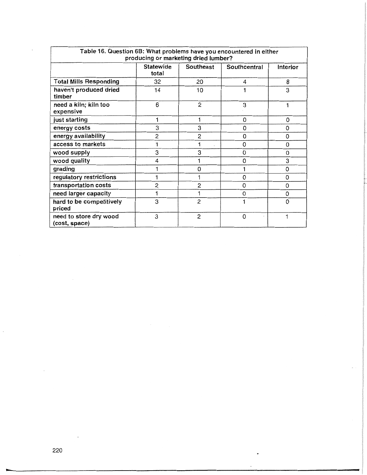| Table 16. Question 6B: What problems have you encountered in either<br>producing or marketing dried lumber? |                           |                  |              |          |  |
|-------------------------------------------------------------------------------------------------------------|---------------------------|------------------|--------------|----------|--|
|                                                                                                             | <b>Statewide</b><br>total | <b>Southeast</b> | Southcentral | Interior |  |
| <b>Total Mills Responding</b>                                                                               | 32                        | 20               | 4            | 8        |  |
| haven't produced dried<br>timber                                                                            | 14                        | 10               |              | 3        |  |
| need a kiln; kiln too<br>expensive                                                                          | 6                         | 2                | 3            |          |  |
| just starting                                                                                               |                           |                  | 0            | 0        |  |
| energy costs                                                                                                | 3                         | 3                | 0            | $\Omega$ |  |
| energy availability                                                                                         | 2                         | 2                | 0            | 0        |  |
| access to markets                                                                                           |                           |                  | 0            | $\Omega$ |  |
| wood supply                                                                                                 | 3                         | 3                | 0            | $\Omega$ |  |
| wood quality                                                                                                | 4                         |                  | 0            | 3        |  |
| grading                                                                                                     |                           | $\Omega$         |              | 0        |  |
| regulatory restrictions                                                                                     |                           |                  | 0            | $\Omega$ |  |
| transportation costs                                                                                        | 2                         | $\overline{2}$   | 0            | 0        |  |
| need larger capacity                                                                                        |                           |                  | 0            | 0        |  |
| hard to be competitively<br>priced                                                                          | 3                         | 2                |              | $\Omega$ |  |
| need to store dry wood<br>(cost, space)                                                                     | 3                         | 2                | 0            |          |  |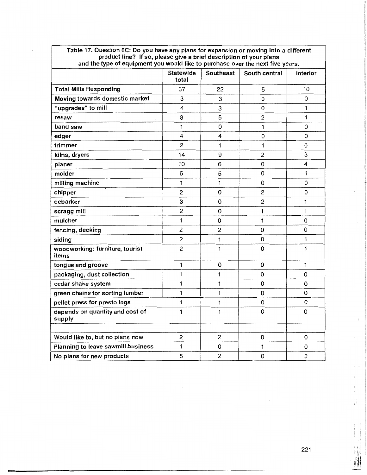| and the type of equipment you would like to purchase over the next five years. |                           |                |                |              |  |
|--------------------------------------------------------------------------------|---------------------------|----------------|----------------|--------------|--|
|                                                                                | <b>Statewide</b><br>total | Southeast      | South central  | Interior     |  |
| <b>Total Mills Responding</b>                                                  | 37                        | 22             | 5              | 10           |  |
| Moving towards domestic market                                                 | 3                         | 3              | 0              | 0            |  |
| "upgrades" to mill                                                             | 4                         | 3              | 0              | 1            |  |
| resaw                                                                          | 8                         | 5              | $\overline{c}$ | 1            |  |
| band saw                                                                       | 1                         | 0              | 1              | 0            |  |
| edger                                                                          | 4                         | 4              | 0              | 0            |  |
| trimmer                                                                        | $\overline{c}$            | 1              | 1              | 0            |  |
| kilns, dryers                                                                  | 14                        | 9              | $\overline{c}$ | 3            |  |
| planer                                                                         | 10                        | 6              | 0              | 4            |  |
| molder                                                                         | 6                         | 5              | 0              | $\mathbf{1}$ |  |
| milling machine                                                                | 1                         | 1              | 0              | 0            |  |
| chipper                                                                        | $\overline{c}$            | 0              | $\overline{c}$ | 0            |  |
| debarker                                                                       | З                         | 0              | $\overline{c}$ | 1            |  |
| scragg mill                                                                    | $\overline{c}$            | 0              | 1              | 1            |  |
| mulcher                                                                        | 1                         | 0              | 1              | 0            |  |
| fencing, decking                                                               | $\overline{c}$            | $\overline{c}$ | 0              | 0            |  |
| siding                                                                         | $\mathbf{2}$              | 1              | 0              | 1            |  |
| woodworking: furniture, tourist<br>items                                       | $\overline{c}$            | 1              | 0              | 1            |  |
| tongue and groove                                                              | 1                         | 0              | 0              | 1            |  |
| packaging, dust collection                                                     | 1                         | 1              | 0              | 0            |  |
| cedar shake system                                                             | 1                         | 1              | 0              | 0            |  |
| green chains for sorting lumber                                                | 1                         | 1              | 0              | 0            |  |
| pellet press for presto logs                                                   | 1                         | 1              | 0              | 0            |  |
| depends on quantity and cost of<br>supply                                      | $\mathbf{1}$              | 1              | 0              | 0            |  |
|                                                                                |                           |                |                |              |  |
| Would like to, but no plans now                                                | 2                         | $\overline{c}$ | 0              | 0            |  |
| Planning to leave sawmill business                                             | 1                         | 0              | 1              | 0            |  |
| No plans for new products                                                      | 5                         | 2              | 0              | 3            |  |

Table 17. Question 6C: Do you have any plans for expansion or moving into a different product line? If so, please give a brief description of your plans

\ I 1: I  $1,1,1,1,1$  $\cdot$  1.1  $\frac{1}{2}$ 

Ħ

ŧ,

 $\overline{a}$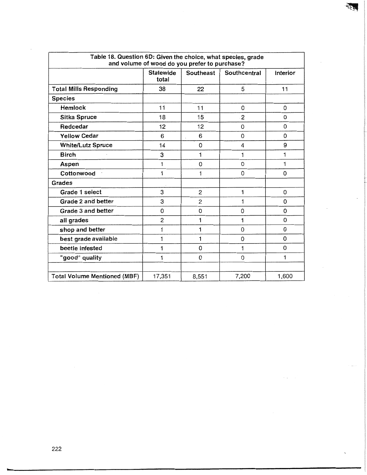| Table 18. Question 6D: Given the choice, what species, grade<br>and volume of wood do you prefer to purchase? |                           |                  |                |             |  |  |  |  |
|---------------------------------------------------------------------------------------------------------------|---------------------------|------------------|----------------|-------------|--|--|--|--|
|                                                                                                               | <b>Statewide</b><br>total | <b>Southeast</b> | Southcentral   | Interior    |  |  |  |  |
| <b>Total Mills Responding</b>                                                                                 | 38                        | 22               | 5              | 11          |  |  |  |  |
| <b>Species</b>                                                                                                |                           |                  |                |             |  |  |  |  |
| Hemlock                                                                                                       | 11                        | 11               | 0              | 0           |  |  |  |  |
| <b>Sitka Spruce</b>                                                                                           | 18                        | 15               | $\overline{2}$ | 0           |  |  |  |  |
| Redcedar                                                                                                      | 12                        | 12               | 0              | $\mathbf 0$ |  |  |  |  |
| <b>Yellow Cedar</b>                                                                                           | 6                         | 6                | 0              | 0           |  |  |  |  |
| <b>White/Lutz Spruce</b>                                                                                      | 14                        | 0                | 4              | 9           |  |  |  |  |
| <b>Birch</b>                                                                                                  | 3                         | 1                | 1              | 1           |  |  |  |  |
| Aspen                                                                                                         | 1                         | 0                | $\Omega$       | 1           |  |  |  |  |
| Cottonwood                                                                                                    | 1                         | 1                | 0              | 0           |  |  |  |  |
| Grades                                                                                                        |                           |                  |                |             |  |  |  |  |
| Grade 1 select                                                                                                | 3                         | 2                | 1              | 0           |  |  |  |  |
| Grade 2 and better                                                                                            | 3                         | 2                | 1              | $\Omega$    |  |  |  |  |
| Grade 3 and better                                                                                            | 0                         | 0                | 0              | 0           |  |  |  |  |
| all grades                                                                                                    | $\overline{2}$            | 1                | 1              | $\Omega$    |  |  |  |  |
| shop and better                                                                                               | 1                         | 1                | $\Omega$       | $\Omega$    |  |  |  |  |
| best grade available                                                                                          | 1                         | 1                | 0              | $\Omega$    |  |  |  |  |
| beetle infested                                                                                               | 1                         | 0                | 1              | $\mathbf 0$ |  |  |  |  |
| "good" quality                                                                                                | 1                         | 0                | 0              | 1           |  |  |  |  |
|                                                                                                               |                           |                  |                |             |  |  |  |  |
| <b>Total Volume Mentioned (MBF)</b>                                                                           | 17,351                    | 8,551            | 7,200          | 1,600       |  |  |  |  |

₹3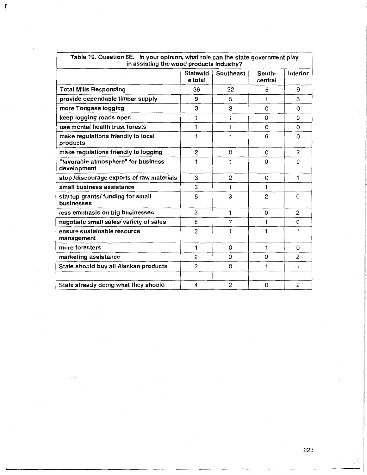| in assisting the wood products industry?           |                            |                  |                   |                |  |  |
|----------------------------------------------------|----------------------------|------------------|-------------------|----------------|--|--|
|                                                    | <b>Statewid</b><br>e total | <b>Southeast</b> | South-<br>central | Interior       |  |  |
| <b>Total Mills Responding</b>                      | 36                         | 22               | 5                 | 9              |  |  |
| provide dependable timber supply                   | 9                          | 5                | 1                 | 3              |  |  |
| more Tongass logging                               | 3                          | 3                | 0                 | 0              |  |  |
| keep logging roads open                            | 1                          | 1                | 0                 | 0              |  |  |
| use mental health trust forests                    | 1                          | 1                | 0                 | $\Omega$       |  |  |
| make regulations friendly to local<br>products     | 1                          | 1                | 0                 | $\Omega$       |  |  |
| make regulations friendly to logging               | $\overline{2}$             | $\Omega$         | $\Omega$          | 2              |  |  |
| "favorable atmosphere" for business<br>development | 1                          | 1                | 0                 | 0              |  |  |
| stop /discourage exports of raw materials          | 3                          | $\overline{2}$   | $\Omega$          | 1              |  |  |
| small business assistance                          | 3                          | 1                | 1                 | 1              |  |  |
| startup grants/funding for small<br>businesses     | 5                          | 3                | $\overline{2}$    | 0              |  |  |
| less emphasis on big businesses                    | 3                          | 1                | $\Omega$          | 2              |  |  |
| negotiate small sales/ variety of sales            | 8                          | 7                | 1                 | 0              |  |  |
| ensure sustainable resource<br>management          | 3                          | 1                | 1                 | 1              |  |  |
| more foresters                                     | 1                          | $\Omega$         | 1                 | 0              |  |  |
| marketing assistance                               | 2                          | $\Omega$         | 0                 | $\overline{c}$ |  |  |
| State should buy all Alaskan products              | $\overline{2}$             | 0                | 1                 | 1              |  |  |
|                                                    |                            |                  |                   |                |  |  |
| State already doing what they should               | 4                          | $\overline{c}$   | 0                 | $\overline{c}$ |  |  |

Table 19. Question 6E. In your opinion, what role can the state government play

r

 $\sqrt{ }$ 

l

 $\mathbf{I}^{\mathbf{I}}$